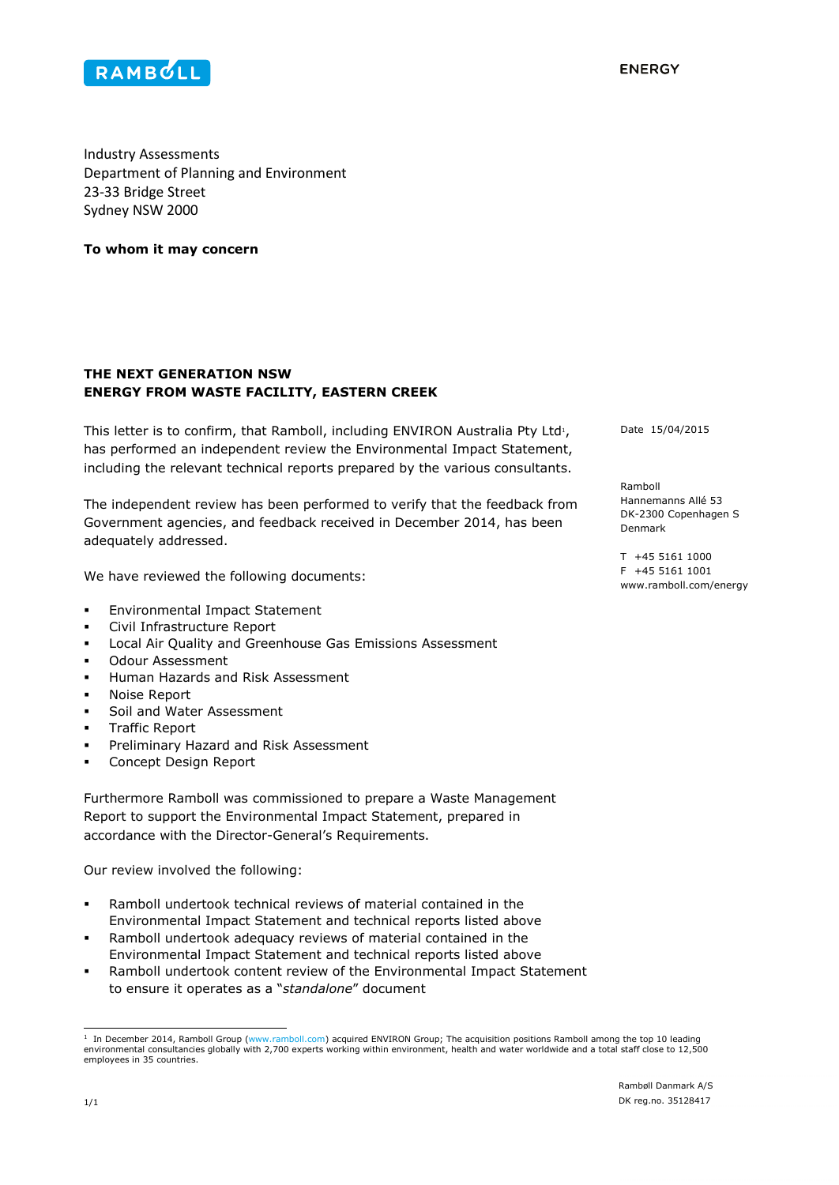

**FNFRGY** 

Industry Assessments Department of Planning and Environment 23-33 Bridge Street Sydney NSW 2000

**To whom it may concern**

## **THE NEXT GENERATION NSW ENERGY FROM WASTE FACILITY, EASTERN CREEK**

This letter is to confirm, that Ramboll, including  $ENVIRON$  Australia Pty Ltd<sup>1</sup>, has performed an independent review the Environmental Impact Statement, including the relevant technical reports prepared by the various consultants.

The independent review has been performed to verify that the feedback from Government agencies, and feedback received in December 2014, has been adequately addressed.

We have reviewed the following documents:

- **Environmental Impact Statement**
- Civil Infrastructure Report
- Local Air Quality and Greenhouse Gas Emissions Assessment
- Odour Assessment
- Human Hazards and Risk Assessment
- Noise Report
- Soil and Water Assessment
- Traffic Report
- Preliminary Hazard and Risk Assessment
- Concept Design Report

Furthermore Ramboll was commissioned to prepare a Waste Management Report to support the Environmental Impact Statement, prepared in accordance with the Director-General's Requirements.

Our review involved the following:

- Ramboll undertook technical reviews of material contained in the Environmental Impact Statement and technical reports listed above
- Ramboll undertook adequacy reviews of material contained in the Environmental Impact Statement and technical reports listed above
- Ramboll undertook content review of the Environmental Impact Statement to ensure it operates as a "*standalone*" document

Date 15/04/2015

Ramboll Hannemanns Allé 53 DK-2300 Copenhagen S Denmark

T +45 5161 1000 F +45 5161 1001 www.ramboll.com/energy

 1 In December 2014, Ramboll Group (www.ramboll.com) acquired ENVIRON Group; The acquisition positions Ramboll among the top 10 leading environmental consultancies globally with 2,700 experts working within environment, health and water worldwide and a total staff close to 12,500 employees in 35 countries.